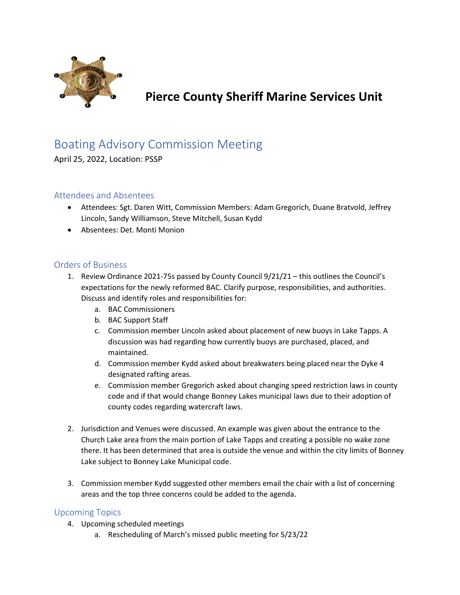

# Pierce County Sheriff Marine Services Unit

## Boating Advisory Commission Meeting

April 25, 2022, Location: PSSP

### Attendees and Absentees

- Attendees: Sgt. Daren Witt, Commission Members: Adam Gregorich, Duane Bratvold, Jeffrey Lincoln, Sandy Williamson, Steve Mitchell, Susan Kydd
- Absentees: Det. Monti Monion

#### Orders of Business

- 1. Review Ordinance 2021-75s passed by County Council 9/21/21 this outlines the Council's expectations for the newly reformed BAC. Clarify purpose, responsibilities, and authorities. Discuss and identify roles and responsibilities for:
	- a. BAC Commissioners
	- b. BAC Support Staff
	- c. Commission member Lincoln asked about placement of new buoys in Lake Tapps. A discussion was had regarding how currently buoys are purchased, placed, and maintained.
	- d. Commission member Kydd asked about breakwaters being placed near the Dyke 4 designated rafting areas.
	- e. Commission member Gregorich asked about changing speed restriction laws in county code and if that would change Bonney Lakes municipal laws due to their adoption of county codes regarding watercraft laws.
- 2. Jurisdiction and Venues were discussed. An example was given about the entrance to the Church Lake area from the main portion of Lake Tapps and creating a possible no wake zone there. It has been determined that area is outside the venue and within the city limits of Bonney Lake subject to Bonney Lake Municipal code.
- 3. Commission member Kydd suggested other members email the chair with a list of concerning areas and the top three concerns could be added to the agenda.

#### Upcoming Topics

- 4. Upcoming scheduled meetings
	- a. Rescheduling of March's missed public meeting for 5/23/22